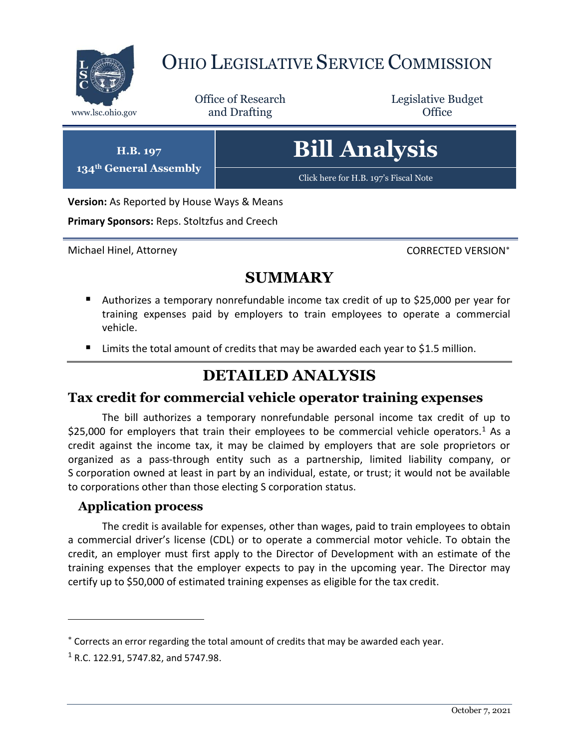

# OHIO LEGISLATIVE SERVICE COMMISSION

Office of Research www.lsc.ohio.gov **and Drafting Office** 

Legislative Budget

**H.B. 197 134th General Assembly** **Bill Analysis**

[Click here for H.B. 197's Fiscal Note](https://www.legislature.ohio.gov/legislation/legislation-documents?id=GA134-HB-197)

**Version:** As Reported by House Ways & Means

**Primary Sponsors:** Reps. Stoltzfus and Creech

Michael Hinel, Attorney CORRECTED VERSION\*

### **SUMMARY**

- Authorizes a temporary nonrefundable income tax credit of up to \$25,000 per year for training expenses paid by employers to train employees to operate a commercial vehicle.
- $\blacksquare$  Limits the total amount of credits that may be awarded each year to \$1.5 million.

### **DETAILED ANALYSIS**

#### **Tax credit for commercial vehicle operator training expenses**

The bill authorizes a temporary nonrefundable personal income tax credit of up to \$25,000 for employers that train their employees to be commercial vehicle operators.<sup>1</sup> As a credit against the income tax, it may be claimed by employers that are sole proprietors or organized as a pass-through entity such as a partnership, limited liability company, or S corporation owned at least in part by an individual, estate, or trust; it would not be available to corporations other than those electing S corporation status.

#### **Application process**

The credit is available for expenses, other than wages, paid to train employees to obtain a commercial driver's license (CDL) or to operate a commercial motor vehicle. To obtain the credit, an employer must first apply to the Director of Development with an estimate of the training expenses that the employer expects to pay in the upcoming year. The Director may certify up to \$50,000 of estimated training expenses as eligible for the tax credit.

 $\overline{a}$ 

Corrects an error regarding the total amount of credits that may be awarded each year.

 $1$  R.C. 122.91, 5747.82, and 5747.98.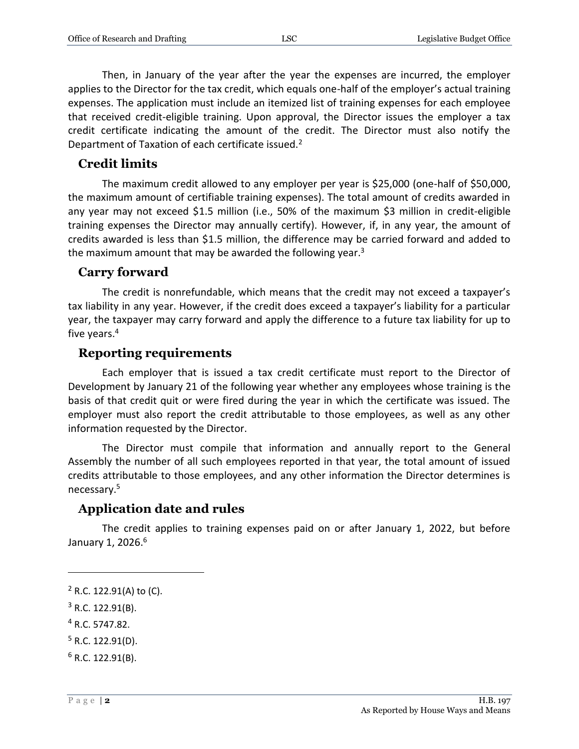Then, in January of the year after the year the expenses are incurred, the employer applies to the Director for the tax credit, which equals one-half of the employer's actual training expenses. The application must include an itemized list of training expenses for each employee that received credit-eligible training. Upon approval, the Director issues the employer a tax credit certificate indicating the amount of the credit. The Director must also notify the Department of Taxation of each certificate issued.<sup>2</sup>

#### **Credit limits**

The maximum credit allowed to any employer per year is \$25,000 (one-half of \$50,000, the maximum amount of certifiable training expenses). The total amount of credits awarded in any year may not exceed \$1.5 million (i.e., 50% of the maximum \$3 million in credit-eligible training expenses the Director may annually certify). However, if, in any year, the amount of credits awarded is less than \$1.5 million, the difference may be carried forward and added to the maximum amount that may be awarded the following year. $3$ 

#### **Carry forward**

The credit is nonrefundable, which means that the credit may not exceed a taxpayer's tax liability in any year. However, if the credit does exceed a taxpayer's liability for a particular year, the taxpayer may carry forward and apply the difference to a future tax liability for up to five years.<sup>4</sup>

#### **Reporting requirements**

Each employer that is issued a tax credit certificate must report to the Director of Development by January 21 of the following year whether any employees whose training is the basis of that credit quit or were fired during the year in which the certificate was issued. The employer must also report the credit attributable to those employees, as well as any other information requested by the Director.

The Director must compile that information and annually report to the General Assembly the number of all such employees reported in that year, the total amount of issued credits attributable to those employees, and any other information the Director determines is necessary.<sup>5</sup>

#### **Application date and rules**

The credit applies to training expenses paid on or after January 1, 2022, but before January 1, 2026.<sup>6</sup>

<sup>4</sup> R.C. 5747.82.

 $\overline{a}$ 

 $6$  R.C. 122.91(B).

 $2$  R.C. 122.91(A) to (C).

<sup>3</sup> R.C. 122.91(B).

 $5$  R.C. 122.91(D).